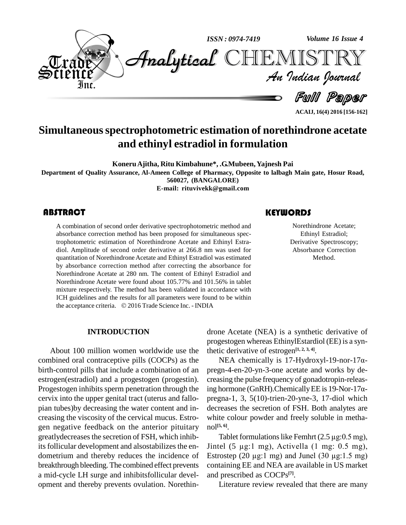

**ACAIJ, 16(4) 2016 [156-162]**

# **Simultaneousspectrophotometric estimation of norethindrone acetate and ethinyl estradiol in formulation**

**KoneruAjitha, Ritu Kimbahune\*, .G.Mubeen, Yajnesh Pai Department of Quality Assurance, Al-Ameen College of Pharmacy, Opposite to lalbagh Main gate, Hosur Road, 560027***,* **(BANGALORE) E-mail: [rituvivekk@gmail.com](mailto:rituvivekk@gmail.com)**

A combination of second<br>absorbance correction in<br>trophotometric estimation A combination of second order derivative spectrophotometric method and absorbance correction method has been proposed for simultaneous spectrophotometric estimation of Norethindrone Acetate and Ethinyl Estradiol. Amplitude of second order derivative at 266.8 nm was used for quantitation of Norethindrone Acetate and Ethinyl Estradiol was estimated by absorbance correction method after correcting the absorbance for Norethindrone Acetate at 280 nm. The content of Ethinyl Estradiol and Norethindrone Acetate were found about 105.77% and 101.56% in tablet mixture respectively. The method has been validated in accordance with ICH guidelines and the results for all parameters were found to be within mixture respectively. The method has been validated in accordance wit<br>ICH guidelines and the results for all parameters were found to be within<br>the acceptance criteria. © 2016 Trade Science Inc. - INDIA

### **INTRODUCTION**

About 100 million women worldwide use the combined oral contraceptive pills (COCPs) as the NEA chemically is 17-Hydroxyl-19-nor-17 $\alpha$ birth-control pills that include a combination of an estrogen(estradiol) and a progestogen (progestin). Progestogen inhibits sperm penetration through the ing hormone (GnRH). Chemically EE is  $19$ -Nor- $17\alpha$ cervix into the upper genital tract (uterus and fallo pian tubes)by decreasing the water content and in creasing the viscosity of the cervical mucus. Estro gen negative feedback on the anterior pituitary greatly decreases the secretion of FSH, which inhibits follicular development and alsostabilizes the endometrium and thereby reduces the incidence of Estrostep (20  $\mu$ g:1 mg) and Junel (30  $\mu$ g:1.5 mg) breakthrough bleeding. The combined effect prevents a mid-cycle LH surge and inhibitsfollicular devel opment and thereby prevents ovulation. Norethin-

# **KEYWORDS**

Norethindrone Acetate;<br>Ethinyl Estradiol;<br>Derivative Spectroscopy; Norethindrone Acetate; Ethinyl Estradiol; Absorbance Correction Method.

drone Acetate (NEA) is a synthetic derivative of progestogen whereas EthinylEstardiol (EE) is a syn-<br>thetic derivative of estrogen<sup>[1, 2, 3, 4]</sup>.<br>NEA chemically is 17-Hydroxyl-19-nor-17 $\alpha$ thetic derivative of estrogen **[1, 2, 3, 4]**.

pregn-4-en-20-yn-3-one acetate and works by decreasing the pulse frequency of gonadotropin-releasing hormone (GnRH).Chemically EE is 19-Nor-17 $\alpha$ creasing the pulse frequency of gonadotropin-releaspregna-1, 3, 5(10)-trien-20-yne-3, 17-diol which decreases the secretion of FSH. Both analytes are white colour powder and freely soluble in metha nol **[5, 6]**.

Tablet formulations like Femhrt  $(2.5 \,\mu g: 0.5 \,\text{mg})$ , nol<sup>[5, 6]</sup>.<br>Tablet formulations like Femhrt (2.5 µg:0.5 mg),<br>Jintel (5 µg:1 mg), Activella (1 mg: 0.5 mg), Tablet formulations like Femhrt  $(2.5 \mu g: 0.5 \text{ mg})$ ,<br>Jintel (5  $\mu$ g:1 mg), Activella (1 mg: 0.5 mg),<br>Estrostep (20  $\mu$ g:1 mg) and Junel (30  $\mu$ g:1.5 mg) containing EE and NEA are available in US market and prescribed as COCPs **[7]**.

Literature review revealed that there are many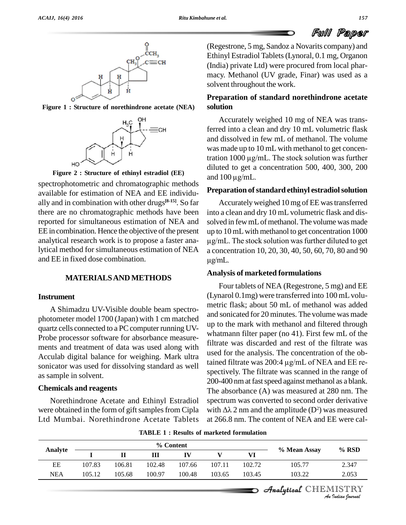





**Figure 2 : Structure of ethinyl estradiol (EE)**

spectrophotometric and chromatographic methods  $\frac{100 \text{ }\mu\text{g/mL}}{2.5 \text{ }\mu\text{m}}$ available for estimation of NEA and EE individu ally and in combination with other drugs **[8-15]**. So far there are no chromatographic methods have been reported for simultaneous estimation of NEA and EE in combination. Hence the objective of the present analytical research work is to propose a faster analytical method for simultaneous estimation of NEA and EE in fixed dose combination.

# **MATERIALSAND METHODS**

# **Instrument**

A Shimadzu UV-Visible double beam spectro photometer model 1700 (Japan) with 1 cm matched quartz cells connected to a PC computer running UV-Probe processor software for absorbance measure ments and treatment of data was used along with Acculab digital balance for weighing. Mark ultra sonicator was used for dissolving standard as well as sample in solvent.

# **Chemicals and reagents**

Norethindrone Acetate and Ethinyl Estradiol were obtained in the form of gift samples from Cipla with  $\Delta\lambda$  2 nm and the amplitude (D<sup>2</sup>) was measured Ltd Mumbai. Norethindrone Acetate Tablets

(Regestrone, 5 mg, Sandoz a Novarits company) and Ethinyl Estradiol Tablets(Lynoral, 0.1 mg, Organon (India) private Ltd) were procured from local phar macy. Methanol (UV grade, Finar) was used as a solvent throughout the work.

# **Preparation of standard norethindrone acetate solution**

Accurately weighed 10 mg of NEA was transferred into a clean and dry 10 mL volumetric flask and dissolved in few mL of methanol. The volume was made up to 10 mL with methanol to get concenand dissolved in few mL of methanol. The volume<br>was made up to 10 mL with methanol to get concen-<br>tration 1000 µg/mL. The stock solution was further diluted to get a concentration 500, 400, 300, 200 tration 1000 μg/mL.<br>diluted to get a con<br>and 100 μg/mL.

# **Preparation ofstandard ethinyl estradiolsolution**

Accuratelyweighed 10 mg of EE wastransferred into a clean and dry 10 mL volumetric flask and dis solved in few mL of methanol. The volume was made n few mL of methanol. The volume was made<br>mL with methanol to get concentration 1000<br>The stock solution was further diluted to get up to 10 mLwith methanol to get concentration 1000  $\mu$ g/mL. The stock solution was further diluted to get a concentration 10, 20, 30, 40, 50, 60, 70, 80 and 90  $\mu$ g/mL.

# **Analysis of marketed formulations**

Four tablets of NEA (Regestrone, 5 mg) and EE (Lynarol 0.1mg) were transferred into 100 mLvolu metric flask; about 50 mL of methanol was added and sonicated for 20 minutes. The volume was made up to the mark with methanol and filtered through whatmann filter paper (no  $41$ ). First few mL of the filtrate was discarded and rest of the filtrate was used for the analysis. The concentration of the obtained filtrate was 200:4 µg/mL of NEA and EE re spectively. The filtrate was scanned in the range of 200-400 nm at fast speed against methanol as a blank. The absorbance (A) was measured at 280 nm. The<br>spectrum was converted to second order derivative<br>with  $\Delta\lambda$  2 nm and the amplitude (D<sup>2</sup>) was measured spectrum was converted to second order derivative at 266.8 nm.The content of NEA and EE were cal-

**TABLE 1 : Results of marketed formulation**

| Analyte    |        |        |        |        |        |                          |                                           |          |
|------------|--------|--------|--------|--------|--------|--------------------------|-------------------------------------------|----------|
|            |        | П      | Ш      | IV     |        | VI                       | % Mean Assay                              | $\%$ RSD |
| EE         | 107.83 | 106.81 | 102.48 | 107.66 | 107.11 | 102.72                   | 105.77                                    | 2.347    |
| <b>NEA</b> | 105.12 | 105.68 | 100.97 | 100.48 | 103.65 | 103.45                   | 103.22                                    | 2.053    |
|            |        |        |        |        |        | $\overline{\phantom{0}}$ | Analytical CHEMISTRY<br>An Indian Iournal |          |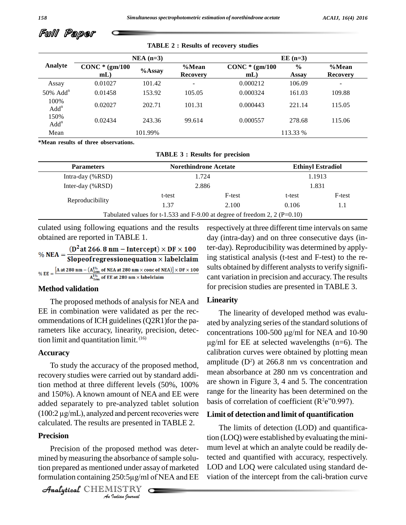| Analyte                  |                          | $NEA$ (n=3) |                                  | $EE(n=3)$                |                        |                                  |  |
|--------------------------|--------------------------|-------------|----------------------------------|--------------------------|------------------------|----------------------------------|--|
|                          | $CONC*(gm/100$<br>$mL$ ) | $%$ Assay   | % <b>Mean</b><br><b>Recovery</b> | $CONC*(gm/100$<br>$mL$ ) | $\frac{6}{9}$<br>Assay | % <b>Mean</b><br><b>Recovery</b> |  |
| Assay                    | 0.01027                  | 101.42      | -                                | 0.000212                 | 106.09                 | $\sim$                           |  |
| $50\%$ Add <sup>n</sup>  | 0.01458                  | 153.92      | 105.05                           | 0.000324                 | 161.03                 | 109.88                           |  |
| 100%<br>Add <sup>n</sup> | 0.02027                  | 202.71      | 101.31                           | 0.000443                 | 221.14                 | 115.05                           |  |
| 150%<br>Add <sup>n</sup> | 0.02434                  | 243.36      | 99.614                           | 0.000557                 | 278.68                 | 115.06                           |  |
| Mean                     |                          | 101.99%     |                                  |                          | 113.33 %               |                                  |  |

**TABLE 2 : Results of recovery studies**

**\*Mean results of three observations.**

|  |  |  |  |  | <b>TABLE 3: Results for precision</b> |
|--|--|--|--|--|---------------------------------------|
|--|--|--|--|--|---------------------------------------|

| <b>Parameters</b>    |                                                                            | <b>Norethindrone Acetate</b> | <b>Ethinyl Estradiol</b> |        |  |
|----------------------|----------------------------------------------------------------------------|------------------------------|--------------------------|--------|--|
| Intra-day (%RSD)     |                                                                            | 1.724                        | 1.1913                   |        |  |
| Inter-day $(\% RSD)$ |                                                                            | 2.886                        | 1.831                    |        |  |
|                      | t-test                                                                     | F-test                       | t-test                   | F-test |  |
| Reproducibility      | 1.37                                                                       | 2.100                        | 0.106                    | 1.1    |  |
|                      | Tabulated values for t-1.533 and F-9.00 at degree of freedom 2, 2 (P=0.10) |                              |                          |        |  |

culated using following equations and the results obtained are reported in TABLE 1.

% NEA =  $\frac{(D^2at\,266.8\,nm - Intercept)\times DF \times 100}{Slope of regression equation \times label claim}$ % EE =  $\frac{[A \text{ at } 280 \text{ nm} - (A_{1\%}^{1\%} \text{ of } NEA \text{ at } 280 \text{ nm} \times \text{conc of } NEA)] \times DF \times 100}{1\%}$  $A_{1cm}^{1\%}$  of EE at 280 nm  $\times$  labelclaim

#### **Method validation**

The proposed methods of analysis for NEA and EE in combination were validated as per the rec ommendations of ICH guidelines (Q2R1)for the parameters like accuracy, linearity, precision, detection limit and quantitation limit. (16)

#### **Accuracy**

To study the accuracy of the proposed method, recovery studies were carried out by standard addition method at three different levels (50%, 100% and 150%). A known amount of NEA and EE were range for the linearity has been determined on<br>added separately to pre-analyzed tablet solution basis of correlation of coefficient ( $R^2e^2$ ) (0.997). added separately to pre-analyzed tablet solution  $(100:2 \,\mu\text{g/mL})$ , analyzed and percent recoveries were calculated. The results are presented in TABLE 2.

#### **Precision**

*Proposed met*<br>*I* absorbance<br>**Indian** *I* and *I* and *Indian bouvaal* Precision of the proposed method was deter- multi mined by measuring the absorbance of sample solution prepared as mentioned under assay of marketed mined by measuring the absorbance of sample solu-<br>tion prepared as mentioned under assay of marketed LOD and<br>formulation containing 250:5µg/ml of NEA and EE viation of

```
CHEMISTRY COMPANY
```
respectively at three different time intervals on same day (intra-day) and on three consecutive days (inter-day). Reproducibility was determined by applying statistical analysis (t-test and F-test) to the re sults obtained by different analysts to verify significant variation in precision and accuracy. The results for precision studies are presented in TABLE 3.

#### **Linearity**

The linearity of developed method was evalu ated by analyzing series of the standard solutions of The linearity of developed method was evaluated by analyzing series of the standard solutions of concentrations  $100-500 \mu g/ml$  for NEA and  $10-90$ ated b  $\mu$ g/ml for EE at selected wavelengths (n=6). The calibration curves were obtained by plotting mean amplitude  $(D^2)$  at 266.8 nm vs concentration and mean absorbance at 280 nm vs concentration and are shown in Figure 3, 4 and 5. The concentration range for the linearity has been determined on the are shown in Figure 3, 4 and 5. The concentration<br>range for the linearity has been determined on the<br>basis of correlation of coefficient  $(R^2e^00.997)$ .

#### **Limit of detection and limit of quantification**

The limits of detection (LOD) and quantification (LOQ) were established by evaluating the mini mum level at which an analyte could be readily detected and quantified with accuracy, respectively.<br>LOD and LOQ were calculated using standard deviation of the intercept from the cali-bration curve LOD and LOQ were calculated using standard de-

Full Paper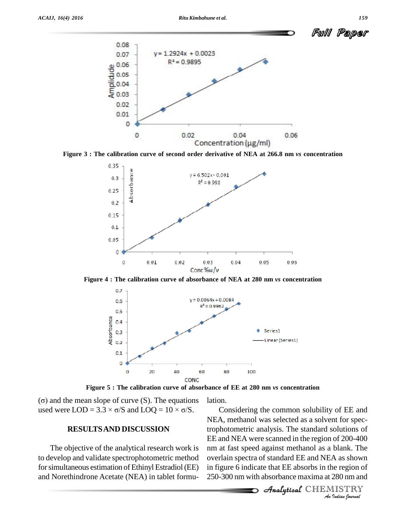

Full Paper



**Figure 3 : The calibration curve of second order derivative of NEA at 266.8 nm** *vs* **concentration**



**Figure 4 : The calibration curve of absorbance of NEA at 280 nm** *vs* **concentration**



**Figure 5 : The calibration curve of absorbance of EE at 280 nm** *vs* **concentration**

 $Figure 5: The calibration curve of absorbance  
( $\sigma$ ) and the mean slope of curve (S). The equations$ Figure 5 : The calibration curve of absorbation<br>
( $\sigma$ ) and the mean slope of curve (S). The equations lass<br>
used were LOD =  $3.3 \times \sigma/S$  and LOQ =  $10 \times \sigma/S$ .

## **RESULTSAND DISCUSSION**

The objective of the analytical research work is to develop and validate spectrophotometric method for simultaneous estimation of Ethinyl Estradiol (EE) and Norethindrone Acetate (NEA) in tablet formulation.

EE and NEA were scanned in the region of 200-400 *Indian Journal* And their were sealing in the region of 200 100 hours. Considering the common solubility of EE and NEA, methanol was selected as a solvent for spectrophotometric analysis. The standard solutions of overlain spectra of standard EE and NEA as shown in figure 6 indicate that EE absorbs in the region of 250-300 nm with absorbance maxima at 280 nm and

**Analytical** CHEMISTRY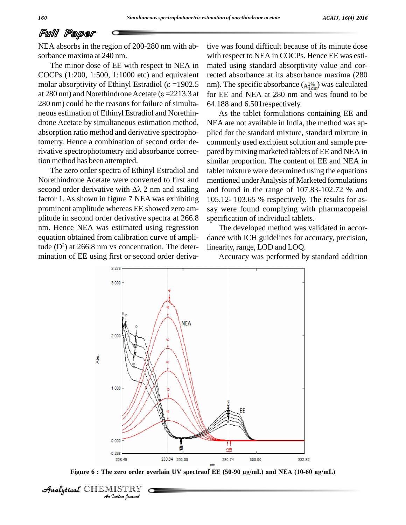# Full Paper

NEA absorbs in the region of 200-280 nm with absorbance maxima at 240 nm.

The minor dose of EE with respect to NEA in COCPs (1:200, 1:500, 1:1000 etc) and equivalent The minor dose of EE with respect to NEA in mated<br>COCPs (1:200, 1:500, 1:1000 etc) and equivalent rected<br>molar absorptivity of Ethinyl Estradiol ( $\varepsilon$  =1902.5 nm). T COCPs (1:200, 1:500, 1:1000 etc) and equivalent recte<br>molar absorptivity of Ethinyl Estradiol ( $\varepsilon$  =1902.5 nm).<br>at 280 nm) and Norethindrone Acetate ( $\varepsilon$  =2213.3 at for I 280 nm) could be the reasons for failure of simulta neous estimation of Ethinyl Estradiol and Norethin drone Acetate by simultaneous estimation method, absorption ratio method and derivative spectrophotometry. Hence a combination of second order derivative spectrophotometry and absorbance correction method has been attempted.

The zero order spectra of Ethinyl Estradiol and Norethindrone Acetate were converted to first and second order derivative with  $\Delta\lambda$  2 nm and scaling factor 1. As shown in figure 7 NEA was exhibiting prominent amplitude whereas EE showed zero am plitude in second order derivative spectra at 266.8 nm. Hence NEA was estimated using regression equation obtained from calibration curve of amplitude  $(D^2)$  at 266.8 nm vs concentration. The determination of EE using first or second order deriva-

tive was found difficult because of its minute dose with respect to NEA in COCPs. Hence EE was esti mated using standard absorptivity value and corrected absorbance at its absorbance maxima (280 nm). The specific absorbance  $(A_{1cm}^{1%})$  was calculated for EE and NEA at 280 nm and was found to be 64.188 and 6.501respectively.

As the tablet formulations containing EE and NEA are not available in India, the method was ap plied for the standard mixture, standard mixture in commonly used excipient solution and sample pre pared bymixing marketed tablets of EE and NEA in similar proportion. The content of EE and NEA in tablet mixture were determined using the equations mentioned underAnalysis of Marketed formulations and found in the range of 107.83-102.72 % and 105.12- 103.65 % respectively. The results for as say were found complying with pharmacopeial specification of individual tablets.

The developed method was validated in accor dance with ICH guidelines for accuracy, precision, linearity, range, LOD and LOQ.

Accuracy was performed by standard addition



CHEMISTRY COMPANY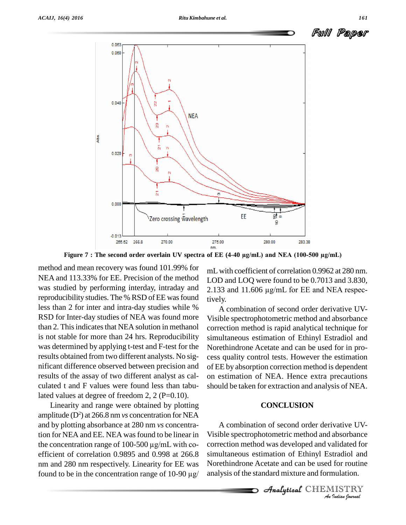Full Paper



method and mean recovery was found 101.99% for NEA and 113.33% for EE. Precision of the method was studied by performing interday, intraday and  $2.133$  and  $11.606 \mu$ g/mL for EE and NEA respecreproducibility studies. The % RSD of EE was found less than 2 for inter and intra-day studies while % RSD for Inter-day studies of NEA was found more than 2. This indicates that NEA solution in methanol is not stable for more than 24 hrs. Reproducibility was determined by applying t-test and F-test for the results obtained from two different analysts. No sig nificant difference observed between precision and results of the assay of two different analyst as cal culated t and F values were found less than tabulated values at degree of freedom 2, 2 (P=0.10).

Linearity and range were obtained by plotting amplitude  $(D^2)$  at 266.8 nm *vs* concentration for NEA and by plotting absorbance at 280 nm *vs* concentration for NEA and EE. NEA was found to be linear in the concentration range of 100-500 µg/mL with co efficient of correlation 0.9895 and 0.998 at 266.8 nm and 280 nm respectively. Linearity for EE was efficient of correlation 0.9895 and 0.998 at 266.8 sin<br>nm and 280 nm respectively. Linearity for EE was No<br>found to be in the concentration range of 10-90  $\mu$ g/ ana

mL with coefficient of correlation 0.9962 at 280 nm. LOD and LOQ were found to be 0.7013 and 3.830, mL with coefficient of correlation 0.9962 at 280 nm.<br>LOD and LOQ were found to be 0.7013 and 3.830,<br>2.133 and 11.606 µg/mL for EE and NEA respectively.

A combination of second order derivative UV- Visible spectrophotometric method and absorbance correction method is rapid analytical technique for simultaneous estimation of Ethinyl Estradiol and Norethindrone Acetate and can be used for in pro cess quality control tests. However the estimation of EE by absorption correction method is dependent on estimation of NEA. Hence extra precautions should be taken for extraction and analysis of NEA.

## **CONCLUSION**

**Correction method was developed and validated for<br>
Simultaneous estimation of Ethinyl Estradiol and<br>
Norethindrone Acetate and can be used for routine<br>
analysis of the standard mixture and formulation.<br>** *Analytteal* **CHEMI** A combination of second order derivative UV- Visible spectrophotometric method and absorbance simultaneous estimation of Ethinyl Estradiol and Norethindrone Acetate and can be used for routine analysis of the standard mixture and formulation.

**Analytical** CHEMISTRY